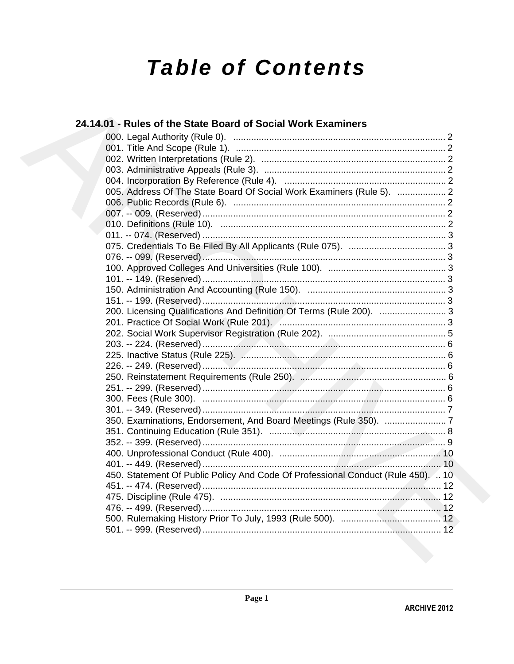# **Table of Contents**

| 24.14.01 - Rules of the State Board of Social Work Examiners                     |  |
|----------------------------------------------------------------------------------|--|
|                                                                                  |  |
|                                                                                  |  |
|                                                                                  |  |
|                                                                                  |  |
|                                                                                  |  |
| 005. Address Of The State Board Of Social Work Examiners (Rule 5).  2            |  |
|                                                                                  |  |
|                                                                                  |  |
|                                                                                  |  |
|                                                                                  |  |
|                                                                                  |  |
|                                                                                  |  |
|                                                                                  |  |
|                                                                                  |  |
|                                                                                  |  |
|                                                                                  |  |
| 200. Licensing Qualifications And Definition Of Terms (Rule 200).  3             |  |
|                                                                                  |  |
|                                                                                  |  |
|                                                                                  |  |
|                                                                                  |  |
|                                                                                  |  |
|                                                                                  |  |
|                                                                                  |  |
|                                                                                  |  |
|                                                                                  |  |
|                                                                                  |  |
|                                                                                  |  |
|                                                                                  |  |
|                                                                                  |  |
| 450. Statement Of Public Policy And Code Of Professional Conduct (Rule 450).  10 |  |
|                                                                                  |  |
|                                                                                  |  |
|                                                                                  |  |
|                                                                                  |  |
|                                                                                  |  |
|                                                                                  |  |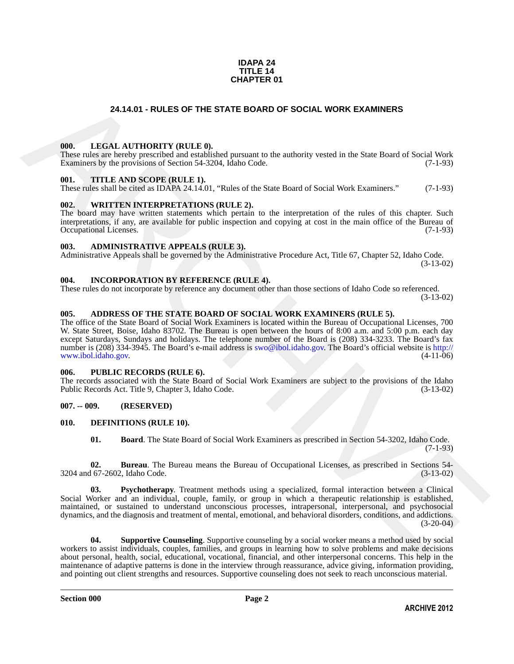#### **IDAPA 24 TITLE 14 CHAPTER 01**

#### **24.14.01 - RULES OF THE STATE BOARD OF SOCIAL WORK EXAMINERS**

#### <span id="page-1-1"></span><span id="page-1-0"></span>**000. LEGAL AUTHORITY (RULE 0).**

These rules are hereby prescribed and established pursuant to the authority vested in the State Board of Social Work Examiners by the provisions of Section 54-3204, Idaho Code. (7-1-93)

#### <span id="page-1-2"></span>**001. TITLE AND SCOPE (RULE 1).**

These rules shall be cited as IDAPA 24.14.01, "Rules of the State Board of Social Work Examiners." (7-1-93)

#### <span id="page-1-3"></span>**002. WRITTEN INTERPRETATIONS (RULE 2).**

The board may have written statements which pertain to the interpretation of the rules of this chapter. Such interpretations, if any, are available for public inspection and copying at cost in the main office of the Bureau of Occupational Licenses. (7-1-93) Occupational Licenses.

#### <span id="page-1-4"></span>**003. ADMINISTRATIVE APPEALS (RULE 3).**

Administrative Appeals shall be governed by the Administrative Procedure Act, Title 67, Chapter 52, Idaho Code. (3-13-02)

#### <span id="page-1-5"></span>**004. INCORPORATION BY REFERENCE (RULE 4).**

These rules do not incorporate by reference any document other than those sections of Idaho Code so referenced. (3-13-02)

#### <span id="page-1-6"></span>**005. ADDRESS OF THE STATE BOARD OF SOCIAL WORK EXAMINERS (RULE 5).**

**24.14.01 - RULES OF THE STATE BOARD OF SOCIAL WORK EXAMINERS<br>
1968.** LEGAL AITHORITY (RITLE 0).<br>
These mass are not proceed and easily be a property to the unitarity vessel in the Star Board of Social Work<br>
These mass ar The office of the State Board of Social Work Examiners is located within the Bureau of Occupational Licenses, 700 W. State Street, Boise, Idaho 83702. The Bureau is open between the hours of 8:00 a.m. and 5:00 p.m. each day except Saturdays, Sundays and holidays. The telephone number of the Board is (208) 334-3233. The Board's fax number is (208) 334-3945. The Board's e-mail address is swo@ibol.idaho.gov. The Board's official website is http://<br>www.ibol.idaho.gov. (4-11-06) www.ibol.idaho.gov.

#### <span id="page-1-7"></span>**006. PUBLIC RECORDS (RULE 6).**

The records associated with the State Board of Social Work Examiners are subject to the provisions of the Idaho<br>Public Records Act. Title 9, Chapter 3, Idaho Code. (3-13-02) Public Records Act. Title 9, Chapter 3, Idaho Code.

#### <span id="page-1-8"></span>**007. -- 009. (RESERVED)**

#### <span id="page-1-9"></span>**010. DEFINITIONS (RULE 10).**

<span id="page-1-13"></span><span id="page-1-12"></span><span id="page-1-11"></span><span id="page-1-10"></span>**01. Board**. The State Board of Social Work Examiners as prescribed in Section 54-3202, Idaho Code. (7-1-93)

**02. Bureau**. The Bureau means the Bureau of Occupational Licenses, as prescribed in Sections 54- 3204 and 67-2602, Idaho Code. (3-13-02)

**03. Psychotherapy**. Treatment methods using a specialized, formal interaction between a Clinical Social Worker and an individual, couple, family, or group in which a therapeutic relationship is established, maintained, or sustained to understand unconscious processes, intrapersonal, interpersonal, and psychosocial dynamics, and the diagnosis and treatment of mental, emotional, and behavioral disorders, conditions, and addictions.  $(3-20-04)$ 

<span id="page-1-14"></span>**04. Supportive Counseling**. Supportive counseling by a social worker means a method used by social workers to assist individuals, couples, families, and groups in learning how to solve problems and make decisions about personal, health, social, educational, vocational, financial, and other interpersonal concerns. This help in the maintenance of adaptive patterns is done in the interview through reassurance, advice giving, information providing, and pointing out client strengths and resources. Supportive counseling does not seek to reach unconscious material.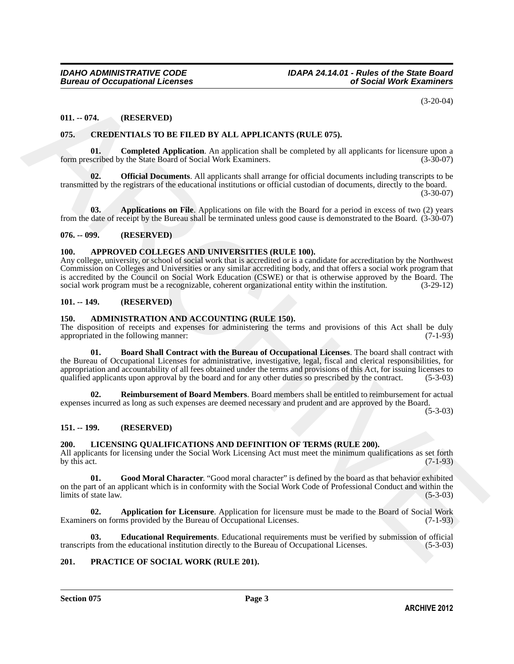(3-20-04)

#### <span id="page-2-0"></span>**011. -- 074. (RESERVED)**

#### <span id="page-2-13"></span><span id="page-2-1"></span>**075. CREDENTIALS TO BE FILED BY ALL APPLICANTS (RULE 075).**

<span id="page-2-15"></span>**01. Completed Application**. An application shall be completed by all applicants for licensure upon a scribed by the State Board of Social Work Examiners. (3-30-07) form prescribed by the State Board of Social Work Examiners.

<span id="page-2-16"></span>**Official Documents**. All applicants shall arrange for official documents including transcripts to be transmitted by the registrars of the educational institutions or official custodian of documents, directly to the board.

(3-30-07)

<span id="page-2-14"></span>**03. Applications on File**. Applications on file with the Board for a period in excess of two (2) years from the date of receipt by the Bureau shall be terminated unless good cause is demonstrated to the Board. (3-30-07)

#### <span id="page-2-2"></span>**076. -- 099. (RESERVED)**

#### <span id="page-2-12"></span><span id="page-2-3"></span>**100. APPROVED COLLEGES AND UNIVERSITIES (RULE 100).**

Any college, university, or school of social work that is accredited or is a candidate for accreditation by the Northwest Commission on Colleges and Universities or any similar accrediting body, and that offers a social work program that is accredited by the Council on Social Work Education (CSWE) or that is otherwise approved by the Board. The social work program must be a recognizable, coherent organizational entity within the institution. (3-29-12) social work program must be a recognizable, coherent organizational entity within the institution.

#### <span id="page-2-4"></span>**101. -- 149. (RESERVED)**

#### <span id="page-2-9"></span><span id="page-2-5"></span>**150. ADMINISTRATION AND ACCOUNTING (RULE 150).**

<span id="page-2-10"></span>The disposition of receipts and expenses for administering the terms and provisions of this Act shall be duly appropriated in the following manner: (7-1-93) appropriated in the following manner:

(1.2014) (TREFRANTE) (2.2014)<br>
1914. - (RESERANTE) (2.2014)<br>
1925. CREDENTIALS TO BE FILED BY ALL APPLICANTS (RULE 075).<br>
1935. CREDENTIALS TO BE HERO BY ALE APPLICANTS (RULE 075).<br>
1936. Distribution of the consistent Ap **01. Board Shall Contract with the Bureau of Occupational Licenses**. The board shall contract with the Bureau of Occupational Licenses for administrative, investigative, legal, fiscal and clerical responsibilities, for appropriation and accountability of all fees obtained under the terms and provisions of this Act, for issuing licenses to qualified applicants upon approval by the board and for any other duties so prescribed by the contract. (5-3-03)

<span id="page-2-11"></span>**02. Reimbursement of Board Members**. Board members shall be entitled to reimbursement for actual expenses incurred as long as such expenses are deemed necessary and prudent and are approved by the Board.

(5-3-03)

#### <span id="page-2-6"></span>**151. -- 199. (RESERVED)**

#### <span id="page-2-17"></span><span id="page-2-7"></span>**200. LICENSING QUALIFICATIONS AND DEFINITION OF TERMS (RULE 200).**

All applicants for licensing under the Social Work Licensing Act must meet the minimum qualifications as set forth by this act. (7-1-93) by this act.  $(7-1-93)$ 

<span id="page-2-20"></span>**01. Good Moral Character**. "Good moral character" is defined by the board as that behavior exhibited on the part of an applicant which is in conformity with the Social Work Code of Professional Conduct and within the limits of state law. (5-3-03)

<span id="page-2-18"></span>**02. Application for Licensure**. Application for licensure must be made to the Board of Social Work rs on forms provided by the Bureau of Occupational Licenses. (7-1-93) Examiners on forms provided by the Bureau of Occupational Licenses.

<span id="page-2-19"></span>**03. Educational Requirements**. Educational requirements must be verified by submission of official ts from the educational institution directly to the Bureau of Occupational Licenses. (5-3-03) transcripts from the educational institution directly to the Bureau of Occupational Licenses.

#### <span id="page-2-21"></span><span id="page-2-8"></span>**201. PRACTICE OF SOCIAL WORK (RULE 201).**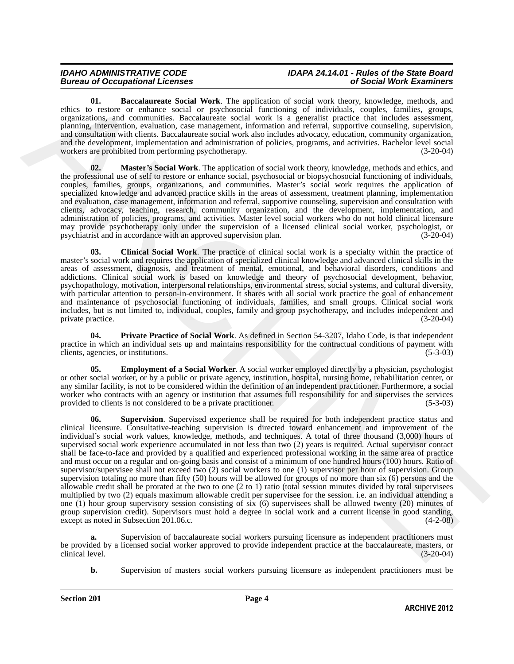#### *IDAHO ADMINISTRATIVE CODE IDAPA 24.14.01 - Rules of the State Board Bureau of Occupational Licenses of Social Work Examiners*

<span id="page-3-0"></span>**01. Baccalaureate Social Work**. The application of social work theory, knowledge, methods, and ethics to restore or enhance social or psychosocial functioning of individuals, couples, families, groups, organizations, and communities. Baccalaureate social work is a generalist practice that includes assessment, planning, intervention, evaluation, case management, information and referral, supportive counseling, supervision, and consultation with clients. Baccalaureate social work also includes advocacy, education, community organization, and the development, implementation and administration of policies, programs, and activities. Bachelor level social<br>workers are prohibited from performing psychotherapy. (3-20-04) workers are prohibited from performing psychotherapy.

<span id="page-3-3"></span>**02. Master's Social Work**. The application of social work theory, knowledge, methods and ethics, and the professional use of self to restore or enhance social, psychosocial or biopsychosocial functioning of individuals, couples, families, groups, organizations, and communities. Master's social work requires the application of specialized knowledge and advanced practice skills in the areas of assessment, treatment planning, implementation and evaluation, case management, information and referral, supportive counseling, supervision and consultation with clients, advocacy, teaching, research, community organization, and the development, implementation, and administration of policies, programs, and activities. Master level social workers who do not hold clinical licensure may provide psychotherapy only under the supervision of a licensed clinical social worker, psychologist, or psychiatrist and in accordance with an approved supervision plan. (3-20-04) psychiatrist and in accordance with an approved supervision plan.

<span id="page-3-1"></span>**03. Clinical Social Work**. The practice of clinical social work is a specialty within the practice of master's social work and requires the application of specialized clinical knowledge and advanced clinical skills in the areas of assessment, diagnosis, and treatment of mental, emotional, and behavioral disorders, conditions and addictions. Clinical social work is based on knowledge and theory of psychosocial development, behavior, psychopathology, motivation, interpersonal relationships, environmental stress, social systems, and cultural diversity, with particular attention to person-in-environment. It shares with all social work practice the goal of enhancement and maintenance of psychosocial functioning of individuals, families, and small groups. Clinical social work includes, but is not limited to, individual, couples, family and group psychotherapy, and includes independent and private practice.

<span id="page-3-4"></span>**0**4**. Private Practice of Social Work**. As defined in Section 54-3207, Idaho Code, is that independent practice in which an individual sets up and maintains responsibility for the contractual conditions of payment with clients, agencies, or institutions. (5-3-03) clients, agencies, or institutions.

<span id="page-3-5"></span><span id="page-3-2"></span>**Employment of a Social Worker**. A social worker employed directly by a physician, psychologist or other social worker, or by a public or private agency, institution, hospital, nursing home, rehabilitation center, or any similar facility, is not to be considered within the definition of an independent practitioner. Furthermore, a social worker who contracts with an agency or institution that assumes full responsibility for and supervises the services provided to clients is not considered to be a private practitioner. (5-3-03)

the material constitute Section with a representation of social methods, recording respectively. The application of social methods in the system of social methods in the system of social methods in the system of system of **06. Supervision**. Supervised experience shall be required for both independent practice status and clinical licensure. Consultative-teaching supervision is directed toward enhancement and improvement of the individual's social work values, knowledge, methods, and techniques. A total of three thousand (3,000) hours of supervised social work experience accumulated in not less than two (2) years is required. Actual supervisor contact shall be face-to-face and provided by a qualified and experienced professional working in the same area of practice and must occur on a regular and on-going basis and consist of a minimum of one hundred hours (100) hours. Ratio of supervisor/supervisee shall not exceed two (2) social workers to one (1) supervisor per hour of supervision. Group supervision totaling no more than fifty (50) hours will be allowed for groups of no more than six (6) persons and the allowable credit shall be prorated at the two to one (2 to 1) ratio (total session minutes divided by total supervisees multiplied by two (2) equals maximum allowable credit per supervisee for the session. i.e. an individual attending a one (1) hour group supervisory session consisting of six  $(6)$  supervisees shall be allowed twenty (20) minutes of group supervision credit). Supervisors must hold a degree in social work and a current license in good standing, except as noted in Subsection 201.06.c. except as noted in Subsection 201.06.c.

**a.** Supervision of baccalaureate social workers pursuing licensure as independent practitioners must be provided by a licensed social worker approved to provide independent practice at the baccalaureate, masters, or clinical level. (3-20-04) clinical level. (3-20-04)

**b.** Supervision of masters social workers pursuing licensure as independent practitioners must be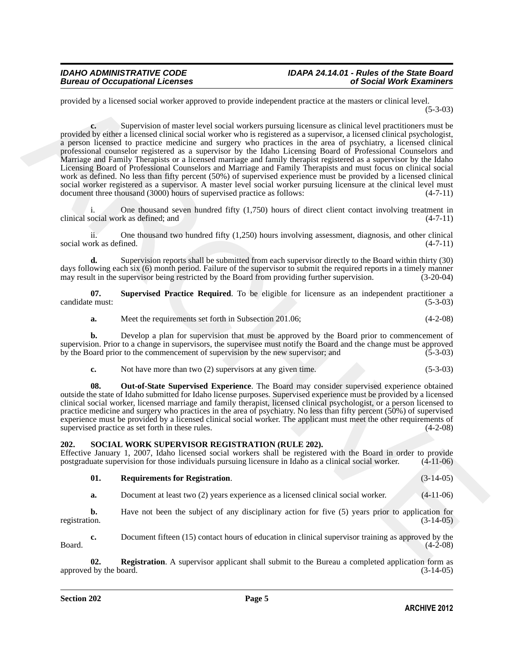provided by a licensed social worker approved to provide independent practice at the masters or clinical level. (5-3-03)

provided by a Busstand ovidi weeker approved to provide independent procedure at the matter or division level and the provided by effect the result of the China MCHIVE (3.10)<br>
provided by either a licensed chiral overlay **c.** Supervision of master level social workers pursuing licensure as clinical level practitioners must be provided by either a licensed clinical social worker who is registered as a supervisor, a licensed clinical psychologist, a person licensed to practice medicine and surgery who practices in the area of psychiatry, a licensed clinical professional counselor registered as a supervisor by the Idaho Licensing Board of Professional Counselors and Marriage and Family Therapists or a licensed marriage and family therapist registered as a supervisor by the Idaho Licensing Board of Professional Counselors and Marriage and Family Therapists and must focus on clinical social work as defined. No less than fifty percent (50%) of supervised experience must be provided by a licensed clinical social worker registered as a supervisor. A master level social worker pursuing licensure at the clinical level must<br>document three thousand (3000) hours of supervised practice as follows: (4-7-11) document three thousand (3000) hours of supervised practice as follows:

One thousand seven hundred fifty  $(1,750)$  hours of direct client contact involving treatment in clinical social work as defined; and (4-7-11)

ii. One thousand two hundred fifty (1,250) hours involving assessment, diagnosis, and other clinical ork as defined. (4-7-11) social work as defined.

**d.** Supervision reports shall be submitted from each supervisor directly to the Board within thirty (30) days following each six (6) month period. Failure of the supervisor to submit the required reports in a timely manner<br>may result in the supervisor being restricted by the Board from providing further supervision. (3-20-04) may result in the supervisor being restricted by the Board from providing further supervision.

**07. Supervised Practice Required**. To be eligible for licensure as an independent practitioner a candidate must: (5-3-03)

<span id="page-4-2"></span>**a.** Meet the requirements set forth in Subsection 201.06; (4-2-08)

**b.** Develop a plan for supervision that must be approved by the Board prior to commencement of supervision. Prior to a change in supervisors, the supervisee must notify the Board and the change must be approved<br>by the Board prior to the commencement of supervision by the new supervisor: and (5-3-03) by the Board prior to the commencement of supervision by the new supervisor; and

<span id="page-4-1"></span>

| c. | Not have more than two (2) supervisors at any given time. | $(5-3-03)$ |
|----|-----------------------------------------------------------|------------|
|----|-----------------------------------------------------------|------------|

**08. Out-of-State Supervised Experience**. The Board may consider supervised experience obtained outside the state of Idaho submitted for Idaho license purposes. Supervised experience must be provided by a licensed clinical social worker, licensed marriage and family therapist, licensed clinical psychologist, or a person licensed to practice medicine and surgery who practices in the area of psychiatry. No less than fifty percent (50%) of supervised experience must be provided by a licensed clinical social worker. The applicant must meet the other requirements of supervised practice as set forth in these rules. (4-2-08) supervised practice as set forth in these rules.

#### <span id="page-4-3"></span><span id="page-4-0"></span>**202. SOCIAL WORK SUPERVISOR REGISTRATION (RULE 202).**

Effective January 1, 2007, Idaho licensed social workers shall be registered with the Board in order to provide postgraduate supervision for those individuals pursuing licensure in Idaho as a clinical social worker. (4-11postgraduate supervision for those individuals pursuing licensure in Idaho as a clinical social worker.

<span id="page-4-5"></span>

| 01. | <b>Requirements for Registration.</b> |  | $(3-14-05)$ |
|-----|---------------------------------------|--|-------------|
|-----|---------------------------------------|--|-------------|

**a.** Document at least two (2) years experience as a licensed clinical social worker. (4-11-06)

**b.** Have not been the subject of any disciplinary action for five (5) years prior to application for registration.  $(3-14-05)$ registration. (3-14-05)

**c.** Document fifteen (15) contact hours of education in clinical supervisor training as approved by the (4-2-08)  $Board.$  (4-2-08)

<span id="page-4-4"></span>**02. Registration**. A supervisor applicant shall submit to the Bureau a completed application form as the board. (3-14-05) approved by the board.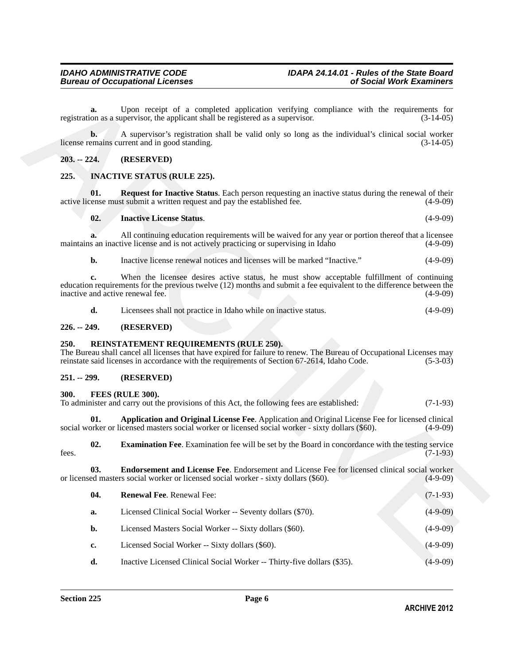#### <span id="page-5-0"></span>**203. -- 224. (RESERVED)**

#### <span id="page-5-13"></span><span id="page-5-12"></span><span id="page-5-11"></span><span id="page-5-1"></span>**225. INACTIVE STATUS (RULE 225).**

#### <span id="page-5-2"></span>**226. -- 249. (RESERVED)**

#### <span id="page-5-14"></span><span id="page-5-3"></span>**250. REINSTATEMENT REQUIREMENTS (RULE 250).**

#### <span id="page-5-4"></span>**251. -- 299. (RESERVED)**

#### <span id="page-5-6"></span><span id="page-5-5"></span>**300. FEES (RULE 300).**

<span id="page-5-10"></span><span id="page-5-9"></span><span id="page-5-8"></span><span id="page-5-7"></span>

| To administer and carry out the provisions of this Act, the following fees are established: |  | $(7-1-93)$ |
|---------------------------------------------------------------------------------------------|--|------------|
|                                                                                             |  |            |
|                                                                                             |  |            |
|                                                                                             |  |            |

|               | a.             | Upon receipt of a completed application verifying compliance with the requirements for<br>registration as a supervisor, the applicant shall be registered as a supervisor.                                                                                    | $(3-14-05)$ |
|---------------|----------------|---------------------------------------------------------------------------------------------------------------------------------------------------------------------------------------------------------------------------------------------------------------|-------------|
|               | $\mathbf{b}$ . | A supervisor's registration shall be valid only so long as the individual's clinical social worker<br>license remains current and in good standing.                                                                                                           | $(3-14-05)$ |
| $203. - 224.$ |                | (RESERVED)                                                                                                                                                                                                                                                    |             |
| 225.          |                | <b>INACTIVE STATUS (RULE 225).</b>                                                                                                                                                                                                                            |             |
|               | 01.            | <b>Request for Inactive Status.</b> Each person requesting an inactive status during the renewal of their<br>active license must submit a written request and pay the established fee.                                                                        | $(4-9-09)$  |
|               | 02.            | <b>Inactive License Status.</b>                                                                                                                                                                                                                               | $(4-9-09)$  |
|               | a.             | All continuing education requirements will be waived for any year or portion thereof that a licensee<br>maintains an inactive license and is not actively practicing or supervising in Idaho                                                                  | $(4-9-09)$  |
|               | $b$ .          | Inactive license renewal notices and licenses will be marked "Inactive."                                                                                                                                                                                      | $(4-9-09)$  |
|               | c.             | When the licensee desires active status, he must show acceptable fulfillment of continuing<br>education requirements for the previous twelve (12) months and submit a fee equivalent to the difference between the<br>inactive and active renewal fee.        | $(4-9-09)$  |
|               | d.             | Licensees shall not practice in Idaho while on inactive status.                                                                                                                                                                                               | $(4-9-09)$  |
| $226. - 249.$ |                | (RESERVED)                                                                                                                                                                                                                                                    |             |
| 250.          |                | REINSTATEMENT REQUIREMENTS (RULE 250).<br>The Bureau shall cancel all licenses that have expired for failure to renew. The Bureau of Occupational Licenses may<br>reinstate said licenses in accordance with the requirements of Section 67-2614, Idaho Code. | $(5-3-03)$  |
| $251 - 299$ . |                | (RESERVED)                                                                                                                                                                                                                                                    |             |
| 300.          |                | FEES (RULE 300).<br>To administer and carry out the provisions of this Act, the following fees are established:                                                                                                                                               | $(7-1-93)$  |
|               | 01.            | Application and Original License Fee. Application and Original License Fee for licensed clinical<br>social worker or licensed masters social worker or licensed social worker - sixty dollars (\$60).                                                         | $(4-9-09)$  |
| fees.         | 02.            | <b>Examination Fee.</b> Examination fee will be set by the Board in concordance with the testing service                                                                                                                                                      | $(7-1-93)$  |
|               | 03.            | Endorsement and License Fee. Endorsement and License Fee for licensed clinical social worker<br>or licensed masters social worker or licensed social worker - sixty dollars (\$60).                                                                           | $(4-9-09)$  |
|               | 04.            | Renewal Fee. Renewal Fee:                                                                                                                                                                                                                                     | $(7-1-93)$  |
|               | a.             | Licensed Clinical Social Worker -- Seventy dollars (\$70).                                                                                                                                                                                                    | $(4-9-09)$  |
|               | b.             | Licensed Masters Social Worker -- Sixty dollars (\$60).                                                                                                                                                                                                       | $(4-9-09)$  |
|               | c.             | Licensed Social Worker -- Sixty dollars (\$60).                                                                                                                                                                                                               | $(4-9-09)$  |
|               | d.             | Inactive Licensed Clinical Social Worker -- Thirty-five dollars (\$35).                                                                                                                                                                                       | $(4-9-09)$  |
|               |                |                                                                                                                                                                                                                                                               |             |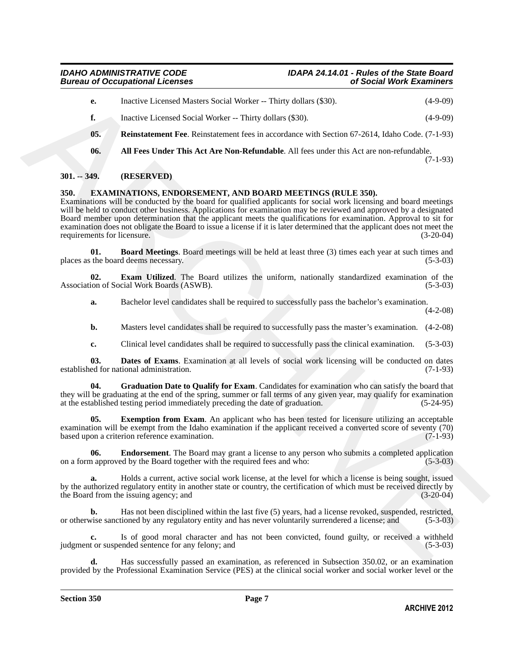- **e.** Inactive Licensed Masters Social Worker -- Thirty dollars (\$30). (4-9-09)
- <span id="page-6-10"></span>**f.** Inactive Licensed Social Worker -- Thirty dollars (\$30). (4-9-09)
- **05. Reinstatement Fee**. Reinstatement fees in accordance with Section 67-2614, Idaho Code. (7-1-93)
- <span id="page-6-9"></span>**06. All Fees Under This Act Are Non-Refundable**. All fees under this Act are non-refundable. (7-1-93)

#### <span id="page-6-0"></span>**301. -- 349. (RESERVED)**

#### <span id="page-6-2"></span><span id="page-6-1"></span>**350. EXAMINATIONS, ENDORSEMENT, AND BOARD MEETINGS (RULE 350).**

**Consider Licensed Matters Social Worke--Thiny dellar, (350)**<br> **Consider Licensed Social Worke--Thiny dellar, (350)**<br> **Consider Licensed Social Worke--Thiny dellar (850)**<br> **Consider Licensed Social Worke--Thiny dellar acc** Examinations will be conducted by the board for qualified applicants for social work licensing and board meetings will be held to conduct other business. Applications for examination may be reviewed and approved by a designated Board member upon determination that the applicant meets the qualifications for examination. Approval to sit for examination does not obligate the Board to issue a license if it is later determined that the applicant does not meet the requirements for licensure. (3-20-04) requirements for licensure.

<span id="page-6-3"></span>**01. Board Meetings**. Board meetings will be held at least three (3) times each year at such times and the board deems necessary. (5-3-03) places as the board deems necessary.

**02. Exam Utilized**. The Board utilizes the uniform, nationally standardized examination of the ion of Social Work Boards (ASWB). Association of Social Work Boards (ASWB).

<span id="page-6-6"></span>**a.** Bachelor level candidates shall be required to successfully pass the bachelor's examination.

(4-2-08)

- **b.** Masters level candidates shall be required to successfully pass the master's examination.  $(4-2-08)$
- <span id="page-6-8"></span><span id="page-6-4"></span>**c.** Clinical level candidates shall be required to successfully pass the clinical examination. (5-3-03)

**03. Dates of Exams**. Examination at all levels of social work licensing will be conducted on dates ed for national administration. (7-1-93) established for national administration.

**04. Graduation Date to Qualify for Exam**. Candidates for examination who can satisfy the board that they will be graduating at the end of the spring, summer or fall terms of any given year, may qualify for examination at the established testing period immediately preceding the date of graduation. (5-24-95)

<span id="page-6-7"></span>**Exemption from Exam**. An applicant who has been tested for licensure utilizing an acceptable examination will be exempt from the Idaho examination if the applicant received a converted score of seventy (70) based upon a criterion reference examination. (7-1-93) based upon a criterion reference examination.

<span id="page-6-5"></span>**06. Endorsement**. The Board may grant a license to any person who submits a completed application a approved by the Board together with the required fees and who: (5-3-03) on a form approved by the Board together with the required fees and who:

**a.** Holds a current, active social work license, at the level for which a license is being sought, issued by the authorized regulatory entity in another state or country, the certification of which must be received directly by the Board from the issuing agency; and (3-20-04)

**b.** Has not been disciplined within the last five (5) years, had a license revoked, suspended, restricted, vise sanctioned by any regulatory entity and has never voluntarily surrendered a license; and (5-3-03) or otherwise sanctioned by any regulatory entity and has never voluntarily surrendered a license; and

**c.** Is of good moral character and has not been convicted, found guilty, or received a withheld tor suspended sentence for any felony; and (5-3-03) judgment or suspended sentence for any felony; and

**d.** Has successfully passed an examination, as referenced in Subsection 350.02, or an examination provided by the Professional Examination Service (PES) at the clinical social worker and social worker level or the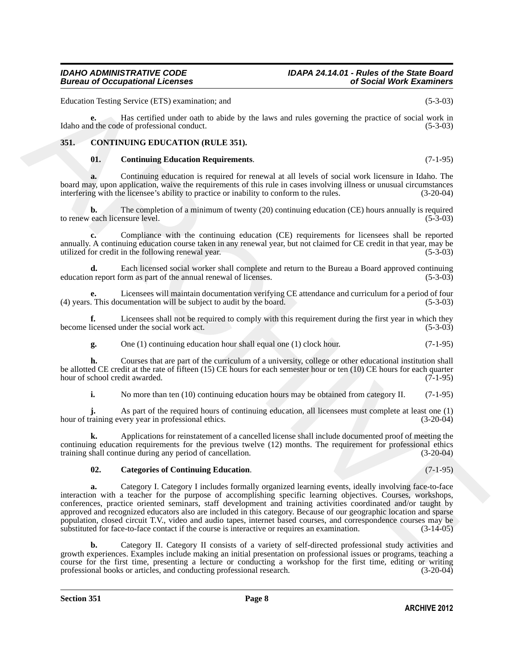Education Testing Service (ETS) examination; and (5-3-03)

**e.** Has certified under oath to abide by the laws and rules governing the practice of social work in Idaho and the code of professional conduct. (5-3-03)

#### <span id="page-7-0"></span>**351. CONTINUING EDUCATION (RULE 351).**

#### <span id="page-7-3"></span><span id="page-7-1"></span>**01. Continuing Education Requirements**. (7-1-95)

**a.** Continuing education is required for renewal at all levels of social work licensure in Idaho. The board may, upon application, waive the requirements of this rule in cases involving illness or unusual circumstances interfering with the licensee's ability to practice or inability to conform to the rules. (3-20-04) interfering with the licensee's ability to practice or inability to conform to the rules.

**b.** The completion of a minimum of twenty (20) continuing education (CE) hours annually is required to renew each licensure level. (5-3-03) (5-3-03)

**c.** Compliance with the continuing education (CE) requirements for licensees shall be reported annually. A continuing education course taken in any renewal year, but not claimed for CE credit in that year, may be utilized for credit in the following renewal year. (5-3-03)

**d.** Each licensed social worker shall complete and return to the Bureau a Board approved continuing n report form as part of the annual renewal of licenses. (5-3-03) education report form as part of the annual renewal of licenses.

**e.** Licensees will maintain documentation verifying CE attendance and curriculum for a period of four (4) years. This documentation will be subject to audit by the board. (5-3-03)

**f.** Licensees shall not be required to comply with this requirement during the first year in which they licensed under the social work act. (5-3-03) become licensed under the social work act.

**g.** One (1) continuing education hour shall equal one (1) clock hour. (7-1-95)

**h.** Courses that are part of the curriculum of a university, college or other educational institution shall be allotted CE credit at the rate of fifteen (15) CE hours for each semester hour or ten (10) CE hours for each quarter hour of school credit awarded. (7-1-95) hour of school credit awarded.

**i.** No more than ten (10) continuing education hours may be obtained from category II. (7-1-95)

As part of the required hours of continuing education, all licensees must complete at least one (1) very year in professional ethics. (3-20-04) hour of training every year in professional ethics.

**k.** Applications for reinstatement of a cancelled license shall include documented proof of meeting the continuing education requirements for the previous twelve (12) months. The requirement for professional ethics training shall continue during any period of cancellation. (3-20-04)

#### <span id="page-7-2"></span>**02. Categories of Continuing Education**. (7-1-95)

Foltention Testing Service (FTS) event matrix, and<br>
16.5.10)<br>
16ths can be considered interesting the principal method of the state of the state of scaling of the state<br>
16ths can be considered interesting the state of th **a.** Category I. Category I includes formally organized learning events, ideally involving face-to-face interaction with a teacher for the purpose of accomplishing specific learning objectives. Courses, workshops, conferences, practice oriented seminars, staff development and training activities coordinated and/or taught by approved and recognized educators also are included in this category. Because of our geographic location and sparse population, closed circuit T.V., video and audio tapes, internet based courses, and correspondence courses may be substituted for face-to-face contact if the course is interactive or requires an examination. (3-14-05)

**b.** Category II. Category II consists of a variety of self-directed professional study activities and growth experiences. Examples include making an initial presentation on professional issues or programs, teaching a course for the first time, presenting a lecture or conducting a workshop for the first time, editing or writing professional books or articles, and conducting professional research. (3-20-04) professional books or articles, and conducting professional research.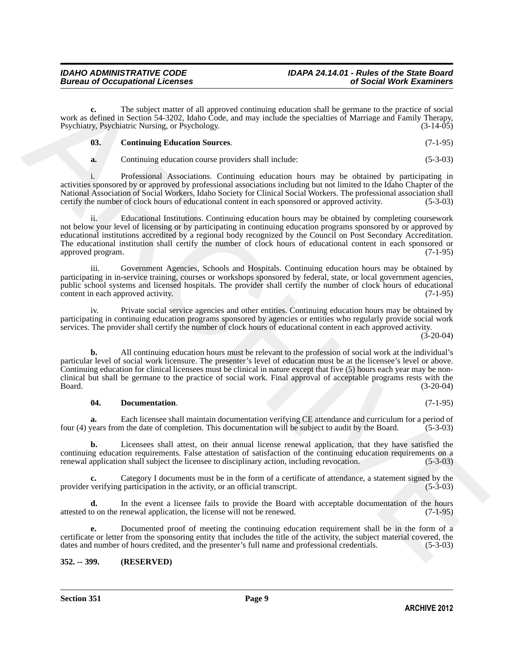**c.** The subject matter of all approved continuing education shall be germane to the practice of social work as defined in Section 54-3202, Idaho Code, and may include the specialties of Marriage and Family Therapy,<br>Psychiatry, Psychiatric Nursing, or Psychology. (3-14-05) Psychiatry, Psychiatric Nursing, or Psychology.

<span id="page-8-1"></span>

| $\overline{\phantom{0}03}$ . | <b>Continuing Education Sources.</b> | $(7-1-95)$ |
|------------------------------|--------------------------------------|------------|
|------------------------------|--------------------------------------|------------|

**a.** Continuing education course providers shall include: (5-3-03)

i. Professional Associations. Continuing education hours may be obtained by participating in activities sponsored by or approved by professional associations including but not limited to the Idaho Chapter of the National Association of Social Workers, Idaho Society for Clinical Social Workers. The professional association shall certify the number of clock hours of educational content in each sponsored or approved activity. (5-3-03 certify the number of clock hours of educational content in each sponsored or approved activity.

ii. Educational Institutions. Continuing education hours may be obtained by completing coursework not below your level of licensing or by participating in continuing education programs sponsored by or approved by educational institutions accredited by a regional body recognized by the Council on Post Secondary Accreditation. The educational institution shall certify the number of clock hours of educational content in each sponsored or approved program. (7-1-95)

iii. Government Agencies, Schools and Hospitals. Continuing education hours may be obtained by participating in in-service training, courses or workshops sponsored by federal, state, or local government agencies, public school systems and licensed hospitals. The provider shall certify the number of clock hours of educational content in each approved activity. (7-1-95)

iv. Private social service agencies and other entities. Continuing education hours may be obtained by participating in continuing education programs sponsored by agencies or entities who regularly provide social work services. The provider shall certify the number of clock hours of educational content in each approved activity.

 $(3-20-04)$ 

work in direct of the subject rantic of all operator contribute generation of all be generate to be metally the subset of States.<br>
The Southern Scholars (Section 1991) and the subset of the Southern Scholars (Section 1991 **b.** All continuing education hours must be relevant to the profession of social work at the individual's particular level of social work licensure. The presenter's level of education must be at the licensee's level or above. Continuing education for clinical licensees must be clinical in nature except that five (5) hours each year may be nonclinical but shall be germane to the practice of social work. Final approval of acceptable programs rests with the Board. (3-20-04)

#### <span id="page-8-2"></span>**04. Documentation**. (7-1-95)

**a.** Each licensee shall maintain documentation verifying CE attendance and curriculum for a period of years from the date of completion. This documentation will be subject to audit by the Board. (5-3-03) four (4) years from the date of completion. This documentation will be subject to audit by the Board.

**b.** Licensees shall attest, on their annual license renewal application, that they have satisfied the continuing education requirements. False attestation of satisfaction of the continuing education requirements on a renewal application shall subject the licensee to disciplinary action, including revocation. (5-3-03) renewal application shall subject the licensee to disciplinary action, including revocation.

Category I documents must be in the form of a certificate of attendance, a statement signed by the participation in the activity, or an official transcript. (5-3-03) provider verifying participation in the activity, or an official transcript.

**d.** In the event a licensee fails to provide the Board with acceptable documentation of the hours o on the renewal application, the license will not be renewed. (7-1-95) attested to on the renewal application, the license will not be renewed.

**e.** Documented proof of meeting the continuing education requirement shall be in the form of a certificate or letter from the sponsoring entity that includes the title of the activity, the subject material covered, the dates and number of hours credited, and the presenter's full name and professional credentials. (5-3-03)

#### <span id="page-8-0"></span>**352. -- 399. (RESERVED)**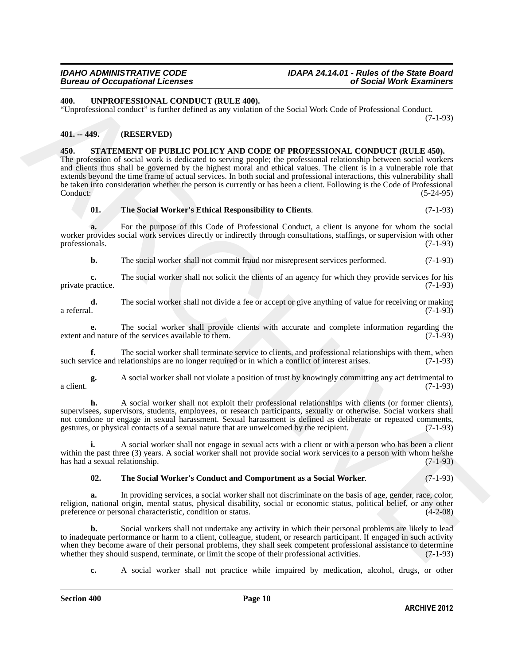### *Bureau of Occupational Licenses of Social Work Examiners*

### *IDAHO ADMINISTRATIVE CODE IDAPA 24.14.01 - Rules of the State Board*

#### <span id="page-9-6"></span><span id="page-9-0"></span>**400. UNPROFESSIONAL CONDUCT (RULE 400).**

"Unprofessional conduct" is further defined as any violation of the Social Work Code of Professional Conduct. (7-1-93)

#### <span id="page-9-1"></span>**401. -- 449. (RESERVED)**

#### <span id="page-9-3"></span><span id="page-9-2"></span>**450. STATEMENT OF PUBLIC POLICY AND CODE OF PROFESSIONAL CONDUCT (RULE 450).**

**40h. CIVENOTES:** CONFIRMATION CONFIDENTIES 400. The Section of the Section Material Conduct  $(7.1-3)$ <br> **40)**  $\frac{1}{2}$  consider the section of the Section Confidential of the Section Material Conductive Consider the Se The profession of social work is dedicated to serving people; the professional relationship between social workers and clients thus shall be governed by the highest moral and ethical values. The client is in a vulnerable role that extends beyond the time frame of actual services. In both social and professional interactions, this vulnerability shall be taken into consideration whether the person is currently or has been a client. Following is the Code of Professional Conduct: (5-24-95)

#### <span id="page-9-5"></span>**01. The Social Worker's Ethical Responsibility to Clients**. (7-1-93)

**a.** For the purpose of this Code of Professional Conduct, a client is anyone for whom the social worker provides social work services directly or indirectly through consultations, staffings, or supervision with other professionals. (7-1-93) professionals.

**b.** The social worker shall not commit fraud nor misrepresent services performed.  $(7-1-93)$ 

**c.** The social worker shall not solicit the clients of an agency for which they provide services for his ractice. (7-1-93) private practice.

**d.** The social worker shall not divide a fee or accept or give anything of value for receiving or making a referral. a referral. (7-1-93)

**e.** The social worker shall provide clients with accurate and complete information regarding the desired nature of the services available to them.  $(7-1-93)$ extent and nature of the services available to them.

**f.** The social worker shall terminate service to clients, and professional relationships with them, when vice and relationships are no longer required or in which a conflict of interest arises. (7-1-93) such service and relationships are no longer required or in which a conflict of interest arises.

**g.** A social worker shall not violate a position of trust by knowingly committing any act detrimental to  $(7-1-93)$ a client.  $(7-1-93)$ 

**h.** A social worker shall not exploit their professional relationships with clients (or former clients), supervisees, supervisors, students, employees, or research participants, sexually or otherwise. Social workers shall not condone or engage in sexual harassment. Sexual harassment is defined as deliberate or repeated comments, gestures, or physical contacts of a sexual nature that are unwelcomed by the recipient. (7-1-93) gestures, or physical contacts of a sexual nature that are unwelcomed by the recipient.

**i.** A social worker shall not engage in sexual acts with a client or with a person who has been a client within the past three (3) years. A social worker shall not provide social work services to a person with whom he/she has had a sexual relationship. (7-1-93) has had a sexual relationship.

#### <span id="page-9-4"></span>**02. The Social Worker's Conduct and Comportment as a Social Worker**. (7-1-93)

**a.** In providing services, a social worker shall not discriminate on the basis of age, gender, race, color, religion, national origin, mental status, physical disability, social or economic status, political belief, or any other preference or personal characteristic, condition or status. (4-2-08) preference or personal characteristic, condition or status.

**b.** Social workers shall not undertake any activity in which their personal problems are likely to lead to inadequate performance or harm to a client, colleague, student, or research participant. If engaged in such activity when they become aware of their personal problems, they shall seek competent professional assistance to determine<br>whether they should suspend, terminate, or limit the scope of their professional activities. (7-1-93) whether they should suspend, terminate, or limit the scope of their professional activities.

**c.** A social worker shall not practice while impaired by medication, alcohol, drugs, or other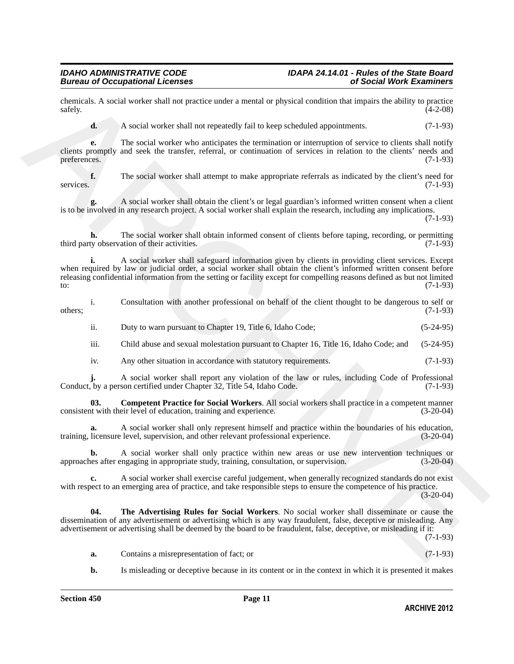chemicals. A social worker shall not practice under a mental or physical condition that impairs the ability to practice  $\text{safely.}$  (4-2-08)

**d.** A social worker shall not repeatedly fail to keep scheduled appointments. (7-1-93)

**e.** The social worker who anticipates the termination or interruption of service to clients shall notify clients promptly and seek the transfer, referral, or continuation of services in relation to the clients' needs and preferences. (7-1-93)

**f.** The social worker shall attempt to make appropriate referrals as indicated by the client's need for services. (7-1-93)

**g.** A social worker shall obtain the client's or legal guardian's informed written consent when a client is to be involved in any research project. A social worker shall explain the research, including any implications. (7-1-93)

**h.** The social worker shall obtain informed consent of clients before taping, recording, or permitting ty observation of their activities. (7-1-93) third party observation of their activities.

characteristics. A social worker shall not practice under a mental or physical condition that there is all the conditions (21-03)<br>
and A rockil worker shall not repeated that be accepted appointments. (7-1-03)<br>
and a rock **i.** A social worker shall safeguard information given by clients in providing client services. Except when required by law or judicial order, a social worker shall obtain the client's informed written consent before releasing confidential information from the setting or facility except for compelling reasons defined as but not limited to:  $(7-1-93)$ 

|         | Consultation with another professional on behalf of the client thought to be dangerous to self or |  |  |  |  |  |            |
|---------|---------------------------------------------------------------------------------------------------|--|--|--|--|--|------------|
| others: |                                                                                                   |  |  |  |  |  | $(7-1-93)$ |

- ii. Duty to warn pursuant to Chapter 19, Title 6, Idaho Code; (5-24-95)
- iii. Child abuse and sexual molestation pursuant to Chapter 16, Title 16, Idaho Code; and (5-24-95)
- <span id="page-10-0"></span>iv. Any other situation in accordance with statutory requirements. (7-1-93)

**j.** A social worker shall report any violation of the law or rules, including Code of Professional, by a person certified under Chapter 32, Title 54, Idaho Code. (7-1-93) Conduct, by a person certified under Chapter 32, Title 54, Idaho Code.

**03. Competent Practice for Social Workers**. All social workers shall practice in a competent manner it with their level of education, training and experience. (3-20-04) consistent with their level of education, training and experience.

**a.** A social worker shall only represent himself and practice within the boundaries of his education, training, licensure level, supervision, and other relevant professional experience.

**b.** A social worker shall only practice within new areas or use new intervention techniques or use after engaging in appropriate study, training, consultation, or supervision. (3-20-04) approaches after engaging in appropriate study, training, consultation, or supervision.

**c.** A social worker shall exercise careful judgement, when generally recognized standards do not exist with respect to an emerging area of practice, and take responsible steps to ensure the competence of his practice.

 $(3-20-04)$ 

**04. The Advertising Rules for Social Workers**. No social worker shall disseminate or cause the dissemination of any advertisement or advertising which is any way fraudulent, false, deceptive or misleading. Any advertisement or advertising shall be deemed by the board to be fraudulent, false, deceptive, or misleading if it: (7-1-93)

- <span id="page-10-1"></span>**a.** Contains a misrepresentation of fact; or (7-1-93)
- **b.** Is misleading or deceptive because in its content or in the context in which it is presented it makes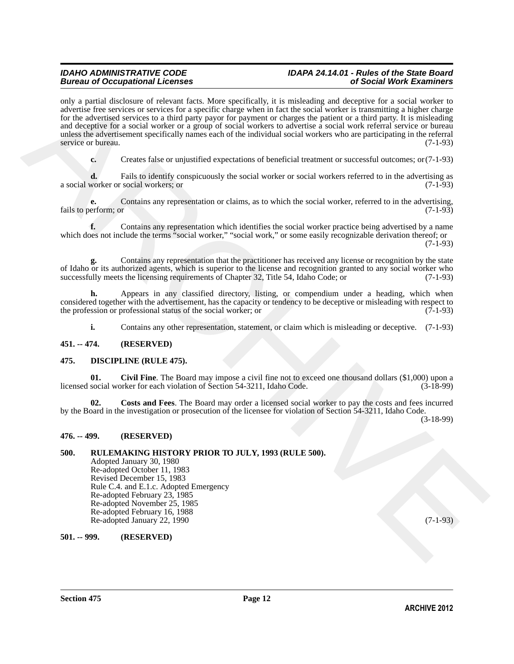### *Bureau of Occupational Licenses of Social Work Examiners*

### *IDAHO ADMINISTRATIVE CODE IDAPA 24.14.01 - Rules of the State Board*

orly a partial disclosure of relation forts. More specifically it is wideling and decopies for a solid vector of the specifical particle particle particle of the share of the specifical particle particle of the share of t only a partial disclosure of relevant facts. More specifically, it is misleading and deceptive for a social worker to advertise free services or services for a specific charge when in fact the social worker is transmitting a higher charge for the advertised services to a third party payor for payment or charges the patient or a third party. It is misleading and deceptive for a social worker or a group of social workers to advertise a social work referral service or bureau unless the advertisement specifically names each of the individual social workers who are participating in the referral service or bureau. (7-1-93)

**c.** Creates false or unjustified expectations of beneficial treatment or successful outcomes; or(7-1-93)

**d.** Fails to identify conspicuously the social worker or social workers referred to in the advertising as a social worker or social workers; or (7-1-93)

**e.** Contains any representation or claims, as to which the social worker, referred to in the advertising, erform: or  $(7-1-93)$ fails to perform; or

**f.** Contains any representation which identifies the social worker practice being advertised by a name which does not include the terms "social worker," "social work," or some easily recognizable derivation thereof; or (7-1-93)

**g.** Contains any representation that the practitioner has received any license or recognition by the state of Idaho or its authorized agents, which is superior to the license and recognition granted to any social worker who successfully meets the licensing requirements of Chapter 32. Title 54, Idaho Code: or (7-1-93) successfully meets the licensing requirements of Chapter 32, Title 54, Idaho Code; or

**h.** Appears in any classified directory, listing, or compendium under a heading, which when considered together with the advertisement, has the capacity or tendency to be deceptive or misleading with respect to the profession or professional status of the social worker; or (7-1-93) the profession or professional status of the social worker; or

<span id="page-11-6"></span><span id="page-11-5"></span>**i.** Contains any other representation, statement, or claim which is misleading or deceptive. (7-1-93)

#### <span id="page-11-0"></span>**451. -- 474. (RESERVED)**

#### <span id="page-11-1"></span>**475. DISCIPLINE (RULE 475).**

**01.** Civil Fine. The Board may impose a civil fine not to exceed one thousand dollars (\$1,000) upon a social worker for each violation of Section 54-3211, Idaho Code. (3-18-99) licensed social worker for each violation of Section 54-3211, Idaho Code.

<span id="page-11-7"></span>**02. Costs and Fees**. The Board may order a licensed social worker to pay the costs and fees incurred by the Board in the investigation or prosecution of the licensee for violation of Section 54-3211, Idaho Code.

(3-18-99)

#### <span id="page-11-2"></span>**476. -- 499. (RESERVED)**

#### <span id="page-11-3"></span>**500. RULEMAKING HISTORY PRIOR TO JULY, 1993 (RULE 500).** Adopted January 30, 1980 Re-adopted October 11, 1983 Revised December 15, 1983 Rule C.4. and E.1.c. Adopted Emergency Re-adopted February 23, 1985 Re-adopted November 25, 1985 Re-adopted February 16, 1988 Re-adopted January 22, 1990 (7-1-93)

<span id="page-11-4"></span>**501. -- 999. (RESERVED)**